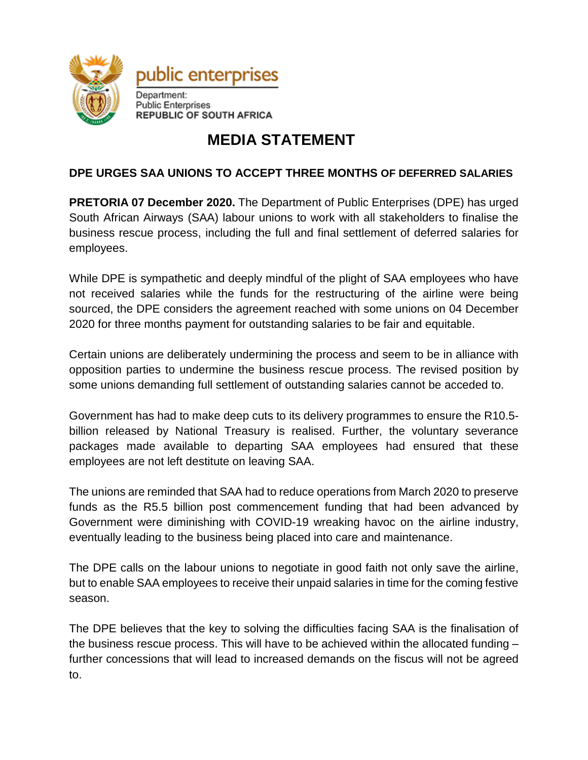

## **MEDIA STATEMENT**

## **DPE URGES SAA UNIONS TO ACCEPT THREE MONTHS OF DEFERRED SALARIES**

**PRETORIA 07 December 2020.** The Department of Public Enterprises (DPE) has urged South African Airways (SAA) labour unions to work with all stakeholders to finalise the business rescue process, including the full and final settlement of deferred salaries for employees.

While DPE is sympathetic and deeply mindful of the plight of SAA employees who have not received salaries while the funds for the restructuring of the airline were being sourced, the DPE considers the agreement reached with some unions on 04 December 2020 for three months payment for outstanding salaries to be fair and equitable.

Certain unions are deliberately undermining the process and seem to be in alliance with opposition parties to undermine the business rescue process. The revised position by some unions demanding full settlement of outstanding salaries cannot be acceded to.

Government has had to make deep cuts to its delivery programmes to ensure the R10.5 billion released by National Treasury is realised. Further, the voluntary severance packages made available to departing SAA employees had ensured that these employees are not left destitute on leaving SAA.

The unions are reminded that SAA had to reduce operations from March 2020 to preserve funds as the R5.5 billion post commencement funding that had been advanced by Government were diminishing with COVID-19 wreaking havoc on the airline industry, eventually leading to the business being placed into care and maintenance.

The DPE calls on the labour unions to negotiate in good faith not only save the airline, but to enable SAA employees to receive their unpaid salaries in time for the coming festive season.

The DPE believes that the key to solving the difficulties facing SAA is the finalisation of the business rescue process. This will have to be achieved within the allocated funding – further concessions that will lead to increased demands on the fiscus will not be agreed to.